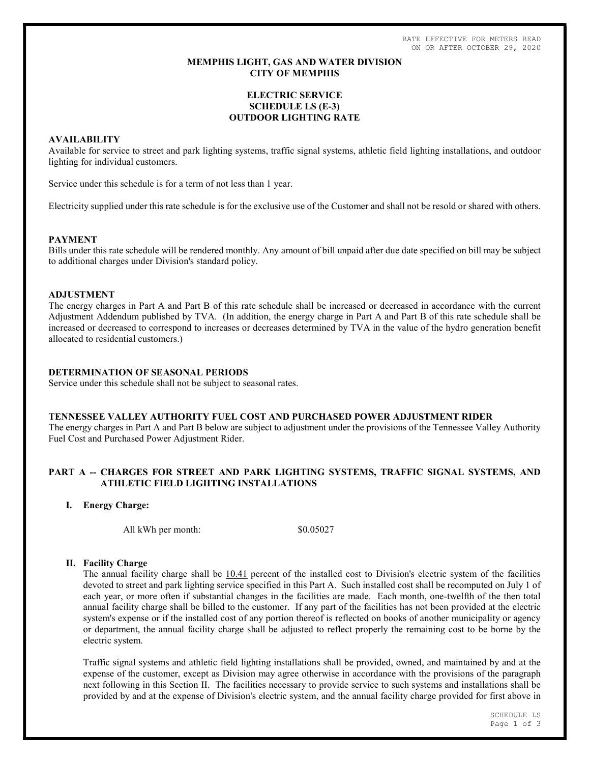RATE EFFECTIVE FOR METERS READ ON OR AFTER OCTOBER 29, 2020

## MEMPHIS LIGHT, GAS AND WATER DIVISION CITY OF MEMPHIS

# ELECTRIC SERVICE SCHEDULE LS (E-3) OUTDOOR LIGHTING RATE

## AVAILABILITY

Available for service to street and park lighting systems, traffic signal systems, athletic field lighting installations, and outdoor lighting for individual customers.

Service under this schedule is for a term of not less than 1 year.

Electricity supplied under this rate schedule is for the exclusive use of the Customer and shall not be resold or shared with others.

### PAYMENT

Bills under this rate schedule will be rendered monthly. Any amount of bill unpaid after due date specified on bill may be subject to additional charges under Division's standard policy.

## ADJUSTMENT

The energy charges in Part A and Part B of this rate schedule shall be increased or decreased in accordance with the current Adjustment Addendum published by TVA. (In addition, the energy charge in Part A and Part B of this rate schedule shall be increased or decreased to correspond to increases or decreases determined by TVA in the value of the hydro generation benefit allocated to residential customers.)

## DETERMINATION OF SEASONAL PERIODS

Service under this schedule shall not be subject to seasonal rates.

### TENNESSEE VALLEY AUTHORITY FUEL COST AND PURCHASED POWER ADJUSTMENT RIDER

The energy charges in Part A and Part B below are subject to adjustment under the provisions of the Tennessee Valley Authority Fuel Cost and Purchased Power Adjustment Rider.

# PART A -- CHARGES FOR STREET AND PARK LIGHTING SYSTEMS, TRAFFIC SIGNAL SYSTEMS, AND ATHLETIC FIELD LIGHTING INSTALLATIONS

# I. Energy Charge:

All kWh per month:  $$0.05027$ 

# II. Facility Charge

The annual facility charge shall be 10.41 percent of the installed cost to Division's electric system of the facilities devoted to street and park lighting service specified in this Part A. Such installed cost shall be recomputed on July 1 of each year, or more often if substantial changes in the facilities are made. Each month, one-twelfth of the then total annual facility charge shall be billed to the customer. If any part of the facilities has not been provided at the electric system's expense or if the installed cost of any portion thereof is reflected on books of another municipality or agency or department, the annual facility charge shall be adjusted to reflect properly the remaining cost to be borne by the electric system.

Traffic signal systems and athletic field lighting installations shall be provided, owned, and maintained by and at the expense of the customer, except as Division may agree otherwise in accordance with the provisions of the paragraph next following in this Section II. The facilities necessary to provide service to such systems and installations shall be provided by and at the expense of Division's electric system, and the annual facility charge provided for first above in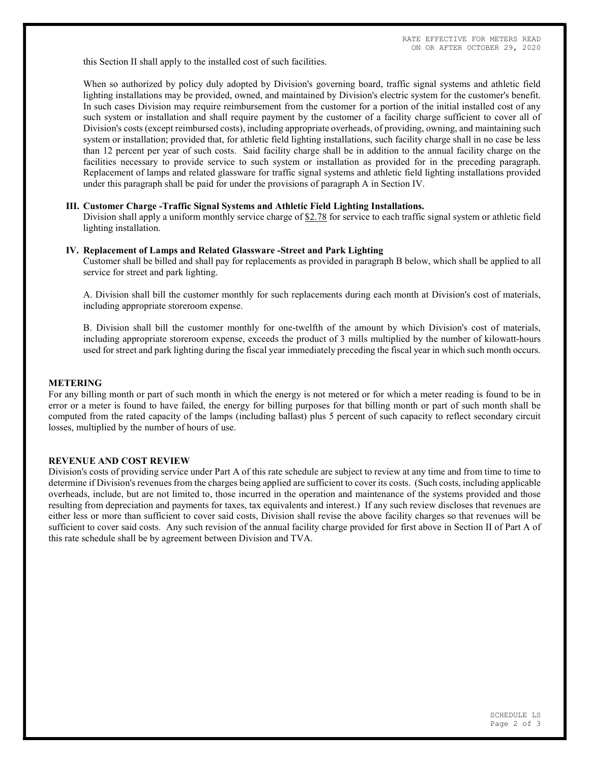this Section II shall apply to the installed cost of such facilities.

When so authorized by policy duly adopted by Division's governing board, traffic signal systems and athletic field lighting installations may be provided, owned, and maintained by Division's electric system for the customer's benefit. In such cases Division may require reimbursement from the customer for a portion of the initial installed cost of any such system or installation and shall require payment by the customer of a facility charge sufficient to cover all of Division's costs (except reimbursed costs), including appropriate overheads, of providing, owning, and maintaining such system or installation; provided that, for athletic field lighting installations, such facility charge shall in no case be less than 12 percent per year of such costs. Said facility charge shall be in addition to the annual facility charge on the facilities necessary to provide service to such system or installation as provided for in the preceding paragraph. Replacement of lamps and related glassware for traffic signal systems and athletic field lighting installations provided under this paragraph shall be paid for under the provisions of paragraph A in Section IV.

#### III. Customer Charge -Traffic Signal Systems and Athletic Field Lighting Installations.

Division shall apply a uniform monthly service charge of \$2.78 for service to each traffic signal system or athletic field lighting installation.

#### IV. Replacement of Lamps and Related Glassware -Street and Park Lighting

Customer shall be billed and shall pay for replacements as provided in paragraph B below, which shall be applied to all service for street and park lighting.

A. Division shall bill the customer monthly for such replacements during each month at Division's cost of materials, including appropriate storeroom expense.

B. Division shall bill the customer monthly for one-twelfth of the amount by which Division's cost of materials, including appropriate storeroom expense, exceeds the product of 3 mills multiplied by the number of kilowatt-hours used for street and park lighting during the fiscal year immediately preceding the fiscal year in which such month occurs.

#### METERING

For any billing month or part of such month in which the energy is not metered or for which a meter reading is found to be in error or a meter is found to have failed, the energy for billing purposes for that billing month or part of such month shall be computed from the rated capacity of the lamps (including ballast) plus 5 percent of such capacity to reflect secondary circuit losses, multiplied by the number of hours of use.

### REVENUE AND COST REVIEW

Division's costs of providing service under Part A of this rate schedule are subject to review at any time and from time to time to determine if Division's revenues from the charges being applied are sufficient to cover its costs. (Such costs, including applicable overheads, include, but are not limited to, those incurred in the operation and maintenance of the systems provided and those resulting from depreciation and payments for taxes, tax equivalents and interest.) If any such review discloses that revenues are either less or more than sufficient to cover said costs, Division shall revise the above facility charges so that revenues will be sufficient to cover said costs. Any such revision of the annual facility charge provided for first above in Section II of Part A of this rate schedule shall be by agreement between Division and TVA.